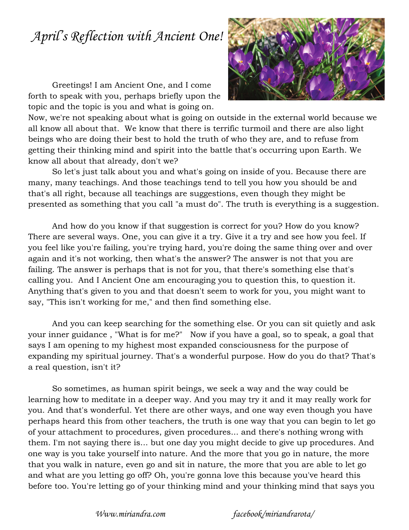## *April's Reflection with Ancient One!*

Greetings! I am Ancient One, and I come forth to speak with you, perhaps briefly upon the topic and the topic is you and what is going on.



Now, we're not speaking about what is going on outside in the external world because we all know all about that. We know that there is terrific turmoil and there are also light beings who are doing their best to hold the truth of who they are, and to refuse from getting their thinking mind and spirit into the battle that's occurring upon Earth. We know all about that already, don't we?

So let's just talk about you and what's going on inside of you. Because there are many, many teachings. And those teachings tend to tell you how you should be and that's all right, because all teachings are suggestions, even though they might be presented as something that you call "a must do". The truth is everything is a suggestion.

And how do you know if that suggestion is correct for you? How do you know? There are several ways. One, you can give it a try. Give it a try and see how you feel. If you feel like you're failing, you're trying hard, you're doing the same thing over and over again and it's not working, then what's the answer? The answer is not that you are failing. The answer is perhaps that is not for you, that there's something else that's calling you. And I Ancient One am encouraging you to question this, to question it. Anything that's given to you and that doesn't seem to work for you, you might want to say, "This isn't working for me," and then find something else.

And you can keep searching for the something else. Or you can sit quietly and ask your inner guidance , "What is for me?" Now if you have a goal, so to speak, a goal that says I am opening to my highest most expanded consciousness for the purpose of expanding my spiritual journey. That's a wonderful purpose. How do you do that? That's a real question, isn't it?

So sometimes, as human spirit beings, we seek a way and the way could be learning how to meditate in a deeper way. And you may try it and it may really work for you. And that's wonderful. Yet there are other ways, and one way even though you have perhaps heard this from other teachers, the truth is one way that you can begin to let go of your attachment to procedures, given procedures... and there's nothing wrong with them. I'm not saying there is... but one day you might decide to give up procedures. And one way is you take yourself into nature. And the more that you go in nature, the more that you walk in nature, even go and sit in nature, the more that you are able to let go and what are you letting go off? Oh, you're gonna love this because you've heard this before too. You're letting go of your thinking mind and your thinking mind that says you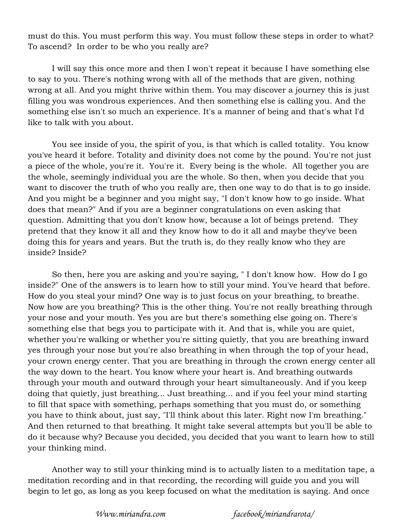must do this. You must perform this way. You must follow these steps in order to what? To ascend? In order to be who you really are?

I will say this once more and then I won't repeat it because I have something else to say to you. There's nothing wrong with all of the methods that are given, nothing wrong at all. And you might thrive within them. You may discover a journey this is just filling you was wondrous experiences. And then something else is calling you. And the something else isn't so much an experience. It's a manner of being and that's what I'd like to talk with you about.

You see inside of you, the spirit of you, is that which is called totality. You know you've heard it before. Totality and divinity does not come by the pound. You're not just a piece of the whole, you're it. You're it. Every being is the whole. All together you are the whole, seemingly individual you are the whole. So then, when you decide that you want to discover the truth of who you really are, then one way to do that is to go inside. And you might be a beginner and you might say, "I don't know how to go inside. What does that mean?" And if you are a beginner congratulations on even asking that question. Admitting that you don't know how, because a lot of beings pretend. They pretend that they know it all and they know how to do it all and maybe they've been doing this for years and years. But the truth is, do they really know who they are inside? Inside?

So then, here you are asking and you're saying, " I don't know how. How do I go inside?" One of the answers is to learn how to still your mind. You've heard that before. How do you steal your mind? One way is to just focus on your breathing, to breathe. Now how are you breathing? This is the other thing. You're not really breathing through your nose and your mouth. Yes you are but there's something else going on. There's something else that begs you to participate with it. And that is, while you are quiet, whether you're walking or whether you're sitting quietly, that you are breathing inward yes through your nose but you're also breathing in when through the top of your head, your crown energy center. That you are breathing in through the crown energy center all the way down to the heart. You know where your heart is. And breathing outwards through your mouth and outward through your heart simultaneously. And if you keep doing that quietly, just breathing... Just breathing... and if you feel your mind starting to fill that space with something, perhaps something that you must do, or something you have to think about, just say, "I'll think about this later. Right now I'm breathing." And then returned to that breathing. It might take several attempts but you'll be able to do it because why? Because you decided, you decided that you want to learn how to still your thinking mind.

Another way to still your thinking mind is to actually listen to a meditation tape, a meditation recording and in that recording, the recording will guide you and you will begin to let go, as long as you keep focused on what the meditation is saying. And once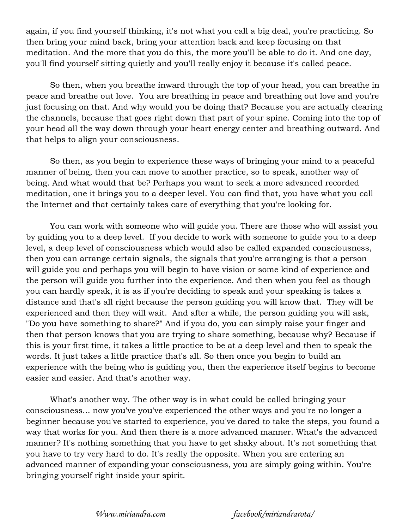again, if you find yourself thinking, it's not what you call a big deal, you're practicing. So then bring your mind back, bring your attention back and keep focusing on that meditation. And the more that you do this, the more you'll be able to do it. And one day, you'll find yourself sitting quietly and you'll really enjoy it because it's called peace.

So then, when you breathe inward through the top of your head, you can breathe in peace and breathe out love. You are breathing in peace and breathing out love and you're just focusing on that. And why would you be doing that? Because you are actually clearing the channels, because that goes right down that part of your spine. Coming into the top of your head all the way down through your heart energy center and breathing outward. And that helps to align your consciousness.

So then, as you begin to experience these ways of bringing your mind to a peaceful manner of being, then you can move to another practice, so to speak, another way of being. And what would that be? Perhaps you want to seek a more advanced recorded meditation, one it brings you to a deeper level. You can find that, you have what you call the Internet and that certainly takes care of everything that you're looking for.

You can work with someone who will guide you. There are those who will assist you by guiding you to a deep level. If you decide to work with someone to guide you to a deep level, a deep level of consciousness which would also be called expanded consciousness, then you can arrange certain signals, the signals that you're arranging is that a person will guide you and perhaps you will begin to have vision or some kind of experience and the person will guide you further into the experience. And then when you feel as though you can hardly speak, it is as if you're deciding to speak and your speaking is takes a distance and that's all right because the person guiding you will know that. They will be experienced and then they will wait. And after a while, the person guiding you will ask, "Do you have something to share?" And if you do, you can simply raise your finger and then that person knows that you are trying to share something, because why? Because if this is your first time, it takes a little practice to be at a deep level and then to speak the words. It just takes a little practice that's all. So then once you begin to build an experience with the being who is guiding you, then the experience itself begins to become easier and easier. And that's another way.

What's another way. The other way is in what could be called bringing your consciousness... now you've you've experienced the other ways and you're no longer a beginner because you've started to experience, you've dared to take the steps, you found a way that works for you. And then there is a more advanced manner. What's the advanced manner? It's nothing something that you have to get shaky about. It's not something that you have to try very hard to do. It's really the opposite. When you are entering an advanced manner of expanding your consciousness, you are simply going within. You're bringing yourself right inside your spirit.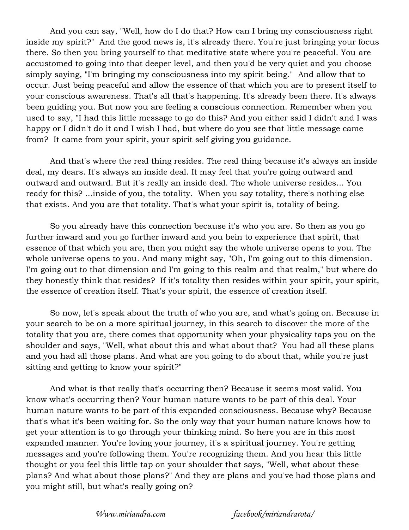And you can say, "Well, how do I do that? How can I bring my consciousness right inside my spirit?" And the good news is, it's already there. You're just bringing your focus there. So then you bring yourself to that meditative state where you're peaceful. You are accustomed to going into that deeper level, and then you'd be very quiet and you choose simply saying, "I'm bringing my consciousness into my spirit being." And allow that to occur. Just being peaceful and allow the essence of that which you are to present itself to your conscious awareness. That's all that's happening. It's already been there. It's always been guiding you. But now you are feeling a conscious connection. Remember when you used to say, "I had this little message to go do this? And you either said I didn't and I was happy or I didn't do it and I wish I had, but where do you see that little message came from? It came from your spirit, your spirit self giving you guidance.

And that's where the real thing resides. The real thing because it's always an inside deal, my dears. It's always an inside deal. It may feel that you're going outward and outward and outward. But it's really an inside deal. The whole universe resides... You ready for this? ...inside of you, the totality. When you say totality, there's nothing else that exists. And you are that totality. That's what your spirit is, totality of being.

So you already have this connection because it's who you are. So then as you go further inward and you go further inward and you bein to experience that spirit, that essence of that which you are, then you might say the whole universe opens to you. The whole universe opens to you. And many might say, "Oh, I'm going out to this dimension. I'm going out to that dimension and I'm going to this realm and that realm," but where do they honestly think that resides? If it's totality then resides within your spirit, your spirit, the essence of creation itself. That's your spirit, the essence of creation itself.

So now, let's speak about the truth of who you are, and what's going on. Because in your search to be on a more spiritual journey, in this search to discover the more of the totality that you are, there comes that opportunity when your physicality taps you on the shoulder and says, "Well, what about this and what about that? You had all these plans and you had all those plans. And what are you going to do about that, while you're just sitting and getting to know your spirit?"

And what is that really that's occurring then? Because it seems most valid. You know what's occurring then? Your human nature wants to be part of this deal. Your human nature wants to be part of this expanded consciousness. Because why? Because that's what it's been waiting for. So the only way that your human nature knows how to get your attention is to go through your thinking mind. So here you are in this most expanded manner. You're loving your journey, it's a spiritual journey. You're getting messages and you're following them. You're recognizing them. And you hear this little thought or you feel this little tap on your shoulder that says, "Well, what about these plans? And what about those plans?" And they are plans and you've had those plans and you might still, but what's really going on?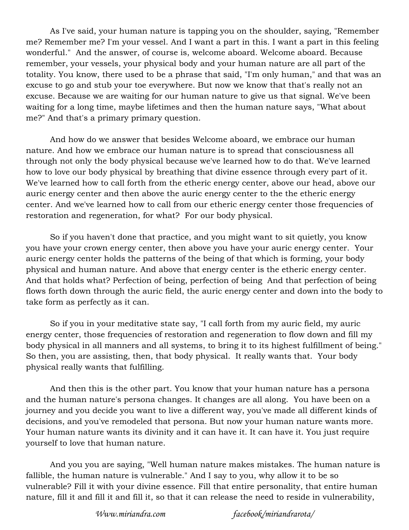As I've said, your human nature is tapping you on the shoulder, saying, "Remember me? Remember me? I'm your vessel. And I want a part in this. I want a part in this feeling wonderful." And the answer, of course is, welcome aboard. Welcome aboard. Because remember, your vessels, your physical body and your human nature are all part of the totality. You know, there used to be a phrase that said, "I'm only human," and that was an excuse to go and stub your toe everywhere. But now we know that that's really not an excuse. Because we are waiting for our human nature to give us that signal. We've been waiting for a long time, maybe lifetimes and then the human nature says, "What about me?" And that's a primary primary question.

And how do we answer that besides Welcome aboard, we embrace our human nature. And how we embrace our human nature is to spread that consciousness all through not only the body physical because we've learned how to do that. We've learned how to love our body physical by breathing that divine essence through every part of it. We've learned how to call forth from the etheric energy center, above our head, above our auric energy center and then above the auric energy center to the the etheric energy center. And we've learned how to call from our etheric energy center those frequencies of restoration and regeneration, for what? For our body physical.

So if you haven't done that practice, and you might want to sit quietly, you know you have your crown energy center, then above you have your auric energy center. Your auric energy center holds the patterns of the being of that which is forming, your body physical and human nature. And above that energy center is the etheric energy center. And that holds what? Perfection of being, perfection of being And that perfection of being flows forth down through the auric field, the auric energy center and down into the body to take form as perfectly as it can.

So if you in your meditative state say, "I call forth from my auric field, my auric energy center, those frequencies of restoration and regeneration to flow down and fill my body physical in all manners and all systems, to bring it to its highest fulfillment of being." So then, you are assisting, then, that body physical. It really wants that. Your body physical really wants that fulfilling.

And then this is the other part. You know that your human nature has a persona and the human nature's persona changes. It changes are all along. You have been on a journey and you decide you want to live a different way, you've made all different kinds of decisions, and you've remodeled that persona. But now your human nature wants more. Your human nature wants its divinity and it can have it. It can have it. You just require yourself to love that human nature.

And you you are saying, "Well human nature makes mistakes. The human nature is fallible, the human nature is vulnerable." And I say to you, why allow it to be so vulnerable? Fill it with your divine essence. Fill that entire personality, that entire human nature, fill it and fill it and fill it, so that it can release the need to reside in vulnerability,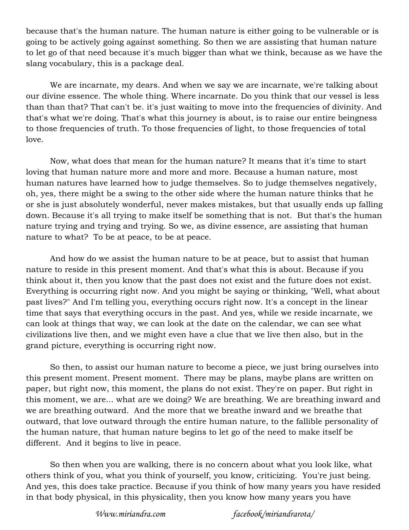because that's the human nature. The human nature is either going to be vulnerable or is going to be actively going against something. So then we are assisting that human nature to let go of that need because it's much bigger than what we think, because as we have the slang vocabulary, this is a package deal.

We are incarnate, my dears. And when we say we are incarnate, we're talking about our divine essence. The whole thing. Where incarnate. Do you think that our vessel is less than than that? That can't be. it's just waiting to move into the frequencies of divinity. And that's what we're doing. That's what this journey is about, is to raise our entire beingness to those frequencies of truth. To those frequencies of light, to those frequencies of total love.

Now, what does that mean for the human nature? It means that it's time to start loving that human nature more and more and more. Because a human nature, most human natures have learned how to judge themselves. So to judge themselves negatively, oh, yes, there might be a swing to the other side where the human nature thinks that he or she is just absolutely wonderful, never makes mistakes, but that usually ends up falling down. Because it's all trying to make itself be something that is not. But that's the human nature trying and trying and trying. So we, as divine essence, are assisting that human nature to what? To be at peace, to be at peace.

And how do we assist the human nature to be at peace, but to assist that human nature to reside in this present moment. And that's what this is about. Because if you think about it, then you know that the past does not exist and the future does not exist. Everything is occurring right now. And you might be saying or thinking, "Well, what about past lives?" And I'm telling you, everything occurs right now. It's a concept in the linear time that says that everything occurs in the past. And yes, while we reside incarnate, we can look at things that way, we can look at the date on the calendar, we can see what civilizations live then, and we might even have a clue that we live then also, but in the grand picture, everything is occurring right now.

So then, to assist our human nature to become a piece, we just bring ourselves into this present moment. Present moment. There may be plans, maybe plans are written on paper, but right now, this moment, the plans do not exist. They're on paper. But right in this moment, we are... what are we doing? We are breathing. We are breathing inward and we are breathing outward. And the more that we breathe inward and we breathe that outward, that love outward through the entire human nature, to the fallible personality of the human nature, that human nature begins to let go of the need to make itself be different. And it begins to live in peace.

So then when you are walking, there is no concern about what you look like, what others think of you, what you think of yourself, you know, criticizing. You're just being. And yes, this does take practice. Because if you think of how many years you have resided in that body physical, in this physicality, then you know how many years you have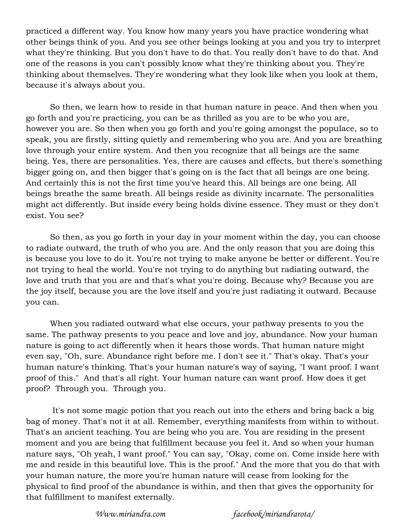practiced a different way. You know how many years you have practice wondering what other beings think of you. And you see other beings looking at you and you try to interpret what they're thinking. But you don't have to do that. You really don't have to do that. And one of the reasons is you can't possibly know what they're thinking about you. They're thinking about themselves. They're wondering what they look like when you look at them, because it's always about you.

So then, we learn how to reside in that human nature in peace. And then when you go forth and you're practicing, you can be as thrilled as you are to be who you are, however you are. So then when you go forth and you're going amongst the populace, so to speak, you are firstly, sitting quietly and remembering who you are. And you are breathing love through your entire system. And then you recognize that all beings are the same being. Yes, there are personalities. Yes, there are causes and effects, but there's something bigger going on, and then bigger that's going on is the fact that all beings are one being. And certainly this is not the first time you've heard this. All beings are one being. All beings breathe the same breath. All beings reside as divinity incarnate. The personalities might act differently. But inside every being holds divine essence. They must or they don't exist. You see?

So then, as you go forth in your day in your moment within the day, you can choose to radiate outward, the truth of who you are. And the only reason that you are doing this is because you love to do it. You're not trying to make anyone be better or different. You're not trying to heal the world. You're not trying to do anything but radiating outward, the love and truth that you are and that's what you're doing. Because why? Because you are the joy itself, because you are the love itself and you're just radiating it outward. Because you can.

When you radiated outward what else occurs, your pathway presents to you the same. The pathway presents to you peace and love and joy, abundance. Now your human nature is going to act differently when it hears those words. That human nature might even say, "Oh, sure. Abundance right before me. I don't see it." That's okay. That's your human nature's thinking. That's your human nature's way of saying, "I want proof. I want proof of this." And that's all right. Your human nature can want proof. How does it get proof? Through you. Through you.

 It's not some magic potion that you reach out into the ethers and bring back a big bag of money. That's not it at all. Remember, everything manifests from within to without. That's an ancient teaching. You are being who you are. You are residing in the present moment and you are being that fulfillment because you feel it. And so when your human nature says, "Oh yeah, I want proof." You can say, "Okay, come on. Come inside here with me and reside in this beautiful love. This is the proof." And the more that you do that with your human nature, the more you're human nature will cease from looking for the physical to find proof of the abundance is within, and then that gives the opportunity for that fulfillment to manifest externally.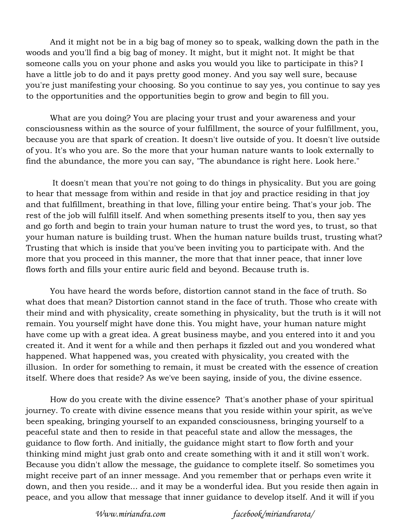And it might not be in a big bag of money so to speak, walking down the path in the woods and you'll find a big bag of money. It might, but it might not. It might be that someone calls you on your phone and asks you would you like to participate in this? I have a little job to do and it pays pretty good money. And you say well sure, because you're just manifesting your choosing. So you continue to say yes, you continue to say yes to the opportunities and the opportunities begin to grow and begin to fill you.

What are you doing? You are placing your trust and your awareness and your consciousness within as the source of your fulfillment, the source of your fulfillment, you, because you are that spark of creation. It doesn't live outside of you. It doesn't live outside of you. It's who you are. So the more that your human nature wants to look externally to find the abundance, the more you can say, "The abundance is right here. Look here."

 It doesn't mean that you're not going to do things in physicality. But you are going to hear that message from within and reside in that joy and practice residing in that joy and that fulfillment, breathing in that love, filling your entire being. That's your job. The rest of the job will fulfill itself. And when something presents itself to you, then say yes and go forth and begin to train your human nature to trust the word yes, to trust, so that your human nature is building trust. When the human nature builds trust, trusting what? Trusting that which is inside that you've been inviting you to participate with. And the more that you proceed in this manner, the more that that inner peace, that inner love flows forth and fills your entire auric field and beyond. Because truth is.

You have heard the words before, distortion cannot stand in the face of truth. So what does that mean? Distortion cannot stand in the face of truth. Those who create with their mind and with physicality, create something in physicality, but the truth is it will not remain. You yourself might have done this. You might have, your human nature might have come up with a great idea. A great business maybe, and you entered into it and you created it. And it went for a while and then perhaps it fizzled out and you wondered what happened. What happened was, you created with physicality, you created with the illusion. In order for something to remain, it must be created with the essence of creation itself. Where does that reside? As we've been saying, inside of you, the divine essence.

How do you create with the divine essence? That's another phase of your spiritual journey. To create with divine essence means that you reside within your spirit, as we've been speaking, bringing yourself to an expanded consciousness, bringing yourself to a peaceful state and then to reside in that peaceful state and allow the messages, the guidance to flow forth. And initially, the guidance might start to flow forth and your thinking mind might just grab onto and create something with it and it still won't work. Because you didn't allow the message, the guidance to complete itself. So sometimes you might receive part of an inner message. And you remember that or perhaps even write it down, and then you reside... and it may be a wonderful idea. But you reside then again in peace, and you allow that message that inner guidance to develop itself. And it will if you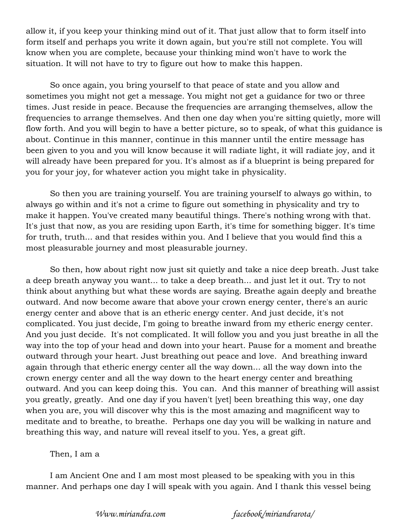allow it, if you keep your thinking mind out of it. That just allow that to form itself into form itself and perhaps you write it down again, but you're still not complete. You will know when you are complete, because your thinking mind won't have to work the situation. It will not have to try to figure out how to make this happen.

So once again, you bring yourself to that peace of state and you allow and sometimes you might not get a message. You might not get a guidance for two or three times. Just reside in peace. Because the frequencies are arranging themselves, allow the frequencies to arrange themselves. And then one day when you're sitting quietly, more will flow forth. And you will begin to have a better picture, so to speak, of what this guidance is about. Continue in this manner, continue in this manner until the entire message has been given to you and you will know because it will radiate light, it will radiate joy, and it will already have been prepared for you. It's almost as if a blueprint is being prepared for you for your joy, for whatever action you might take in physicality.

So then you are training yourself. You are training yourself to always go within, to always go within and it's not a crime to figure out something in physicality and try to make it happen. You've created many beautiful things. There's nothing wrong with that. It's just that now, as you are residing upon Earth, it's time for something bigger. It's time for truth, truth... and that resides within you. And I believe that you would find this a most pleasurable journey and most pleasurable journey.

So then, how about right now just sit quietly and take a nice deep breath. Just take a deep breath anyway you want... to take a deep breath... and just let it out. Try to not think about anything but what these words are saying. Breathe again deeply and breathe outward. And now become aware that above your crown energy center, there's an auric energy center and above that is an etheric energy center. And just decide, it's not complicated. You just decide, I'm going to breathe inward from my etheric energy center. And you just decide. It's not complicated. It will follow you and you just breathe in all the way into the top of your head and down into your heart. Pause for a moment and breathe outward through your heart. Just breathing out peace and love. And breathing inward again through that etheric energy center all the way down... all the way down into the crown energy center and all the way down to the heart energy center and breathing outward. And you can keep doing this. You can. And this manner of breathing will assist you greatly, greatly. And one day if you haven't [yet] been breathing this way, one day when you are, you will discover why this is the most amazing and magnificent way to meditate and to breathe, to breathe. Perhaps one day you will be walking in nature and breathing this way, and nature will reveal itself to you. Yes, a great gift.

## Then, I am a

I am Ancient One and I am most most pleased to be speaking with you in this manner. And perhaps one day I will speak with you again. And I thank this vessel being